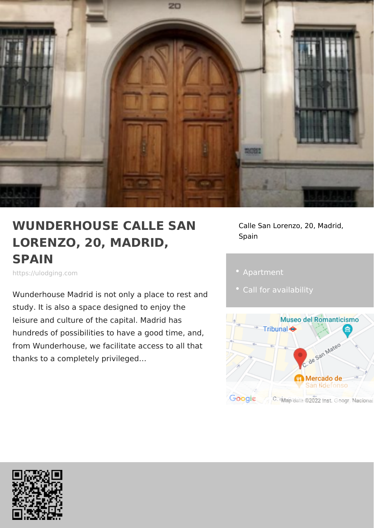## WUNDERHOUSE CALLE SA Nalle San Lorenzo, 20, Mad LORENZO, 20, MADRID, SPAIN Spain

https://ulodging.com

Wunderhouse Madrid is not only a place study. It is also a space designed to enjoy the leisure and culture of the capital. Madrid has hundreds of possibilities to have a good time, and, from Wunderhouse, we facilitate access to all that thanks to a completely privileged &